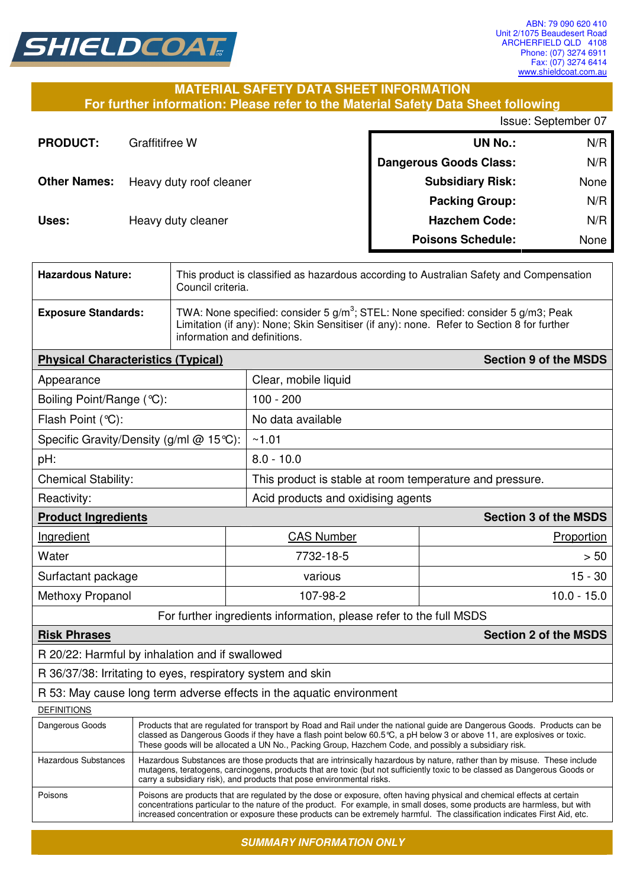

T

### **MATERIAL SAFETY DATA SHEET INFORMATION For further information: Please refer to the Material Safety Data Sheet following**

Issue: September 07

| <b>PRODUCT:</b>     | Graffitifree W          | <b>UN No.:</b>                | N/R  |
|---------------------|-------------------------|-------------------------------|------|
|                     |                         | <b>Dangerous Goods Class:</b> | N/R  |
| <b>Other Names:</b> | Heavy duty roof cleaner | <b>Subsidiary Risk:</b>       | None |
|                     |                         | <b>Packing Group:</b>         | N/R  |
| Uses:               | Heavy duty cleaner      | <b>Hazchem Code:</b>          | N/R  |
|                     |                         | <b>Poisons Schedule:</b>      | None |

| <b>Hazardous Nature:</b>                  | This product is classified as hazardous according to Australian Safety and Compensation<br>Council criteria.                                                                                                                                                                                                                                                                     |  |                                                                      |                              |  |
|-------------------------------------------|----------------------------------------------------------------------------------------------------------------------------------------------------------------------------------------------------------------------------------------------------------------------------------------------------------------------------------------------------------------------------------|--|----------------------------------------------------------------------|------------------------------|--|
| <b>Exposure Standards:</b>                | TWA: None specified: consider 5 $g/m^3$ ; STEL: None specified: consider 5 $g/m3$ ; Peak<br>Limitation (if any): None; Skin Sensitiser (if any): none. Refer to Section 8 for further<br>information and definitions.                                                                                                                                                            |  |                                                                      |                              |  |
| <b>Physical Characteristics (Typical)</b> |                                                                                                                                                                                                                                                                                                                                                                                  |  |                                                                      | <b>Section 9 of the MSDS</b> |  |
| Appearance                                |                                                                                                                                                                                                                                                                                                                                                                                  |  | Clear, mobile liquid                                                 |                              |  |
| Boiling Point/Range (°C):                 |                                                                                                                                                                                                                                                                                                                                                                                  |  | $100 - 200$                                                          |                              |  |
| Flash Point (°C):                         |                                                                                                                                                                                                                                                                                                                                                                                  |  | No data available                                                    |                              |  |
|                                           | Specific Gravity/Density (g/ml @ 15°C):                                                                                                                                                                                                                                                                                                                                          |  | ~1.01                                                                |                              |  |
| pH:                                       |                                                                                                                                                                                                                                                                                                                                                                                  |  | $8.0 - 10.0$                                                         |                              |  |
| <b>Chemical Stability:</b>                |                                                                                                                                                                                                                                                                                                                                                                                  |  | This product is stable at room temperature and pressure.             |                              |  |
| Reactivity:                               |                                                                                                                                                                                                                                                                                                                                                                                  |  | Acid products and oxidising agents                                   |                              |  |
| <b>Product Ingredients</b>                |                                                                                                                                                                                                                                                                                                                                                                                  |  |                                                                      | <b>Section 3 of the MSDS</b> |  |
| Ingredient                                |                                                                                                                                                                                                                                                                                                                                                                                  |  | <b>CAS Number</b>                                                    | Proportion                   |  |
| Water                                     |                                                                                                                                                                                                                                                                                                                                                                                  |  | 7732-18-5                                                            |                              |  |
| Surfactant package                        |                                                                                                                                                                                                                                                                                                                                                                                  |  | various                                                              | $15 - 30$                    |  |
| Methoxy Propanol                          |                                                                                                                                                                                                                                                                                                                                                                                  |  | 107-98-2<br>$10.0 - 15.0$                                            |                              |  |
|                                           |                                                                                                                                                                                                                                                                                                                                                                                  |  | For further ingredients information, please refer to the full MSDS   |                              |  |
| <b>Risk Phrases</b>                       |                                                                                                                                                                                                                                                                                                                                                                                  |  |                                                                      | <b>Section 2 of the MSDS</b> |  |
|                                           | R 20/22: Harmful by inhalation and if swallowed                                                                                                                                                                                                                                                                                                                                  |  |                                                                      |                              |  |
|                                           | R 36/37/38: Irritating to eyes, respiratory system and skin                                                                                                                                                                                                                                                                                                                      |  |                                                                      |                              |  |
|                                           |                                                                                                                                                                                                                                                                                                                                                                                  |  | R 53: May cause long term adverse effects in the aquatic environment |                              |  |
| <b>DEFINITIONS</b>                        |                                                                                                                                                                                                                                                                                                                                                                                  |  |                                                                      |                              |  |
| Dangerous Goods                           | Products that are regulated for transport by Road and Rail under the national guide are Dangerous Goods. Products can be<br>classed as Dangerous Goods if they have a flash point below 60.5 °C, a pH below 3 or above 11, are explosives or toxic.<br>These goods will be allocated a UN No., Packing Group, Hazchem Code, and possibly a subsidiary risk.                      |  |                                                                      |                              |  |
| <b>Hazardous Substances</b>               | Hazardous Substances are those products that are intrinsically hazardous by nature, rather than by misuse. These include<br>mutagens, teratogens, carcinogens, products that are toxic (but not sufficiently toxic to be classed as Dangerous Goods or<br>carry a subsidiary risk), and products that pose environmental risks.                                                  |  |                                                                      |                              |  |
| Poisons                                   | Poisons are products that are regulated by the dose or exposure, often having physical and chemical effects at certain<br>concentrations particular to the nature of the product. For example, in small doses, some products are harmless, but with<br>increased concentration or exposure these products can be extremely harmful. The classification indicates First Aid, etc. |  |                                                                      |                              |  |

**SUMMARY INFORMATION ONLY**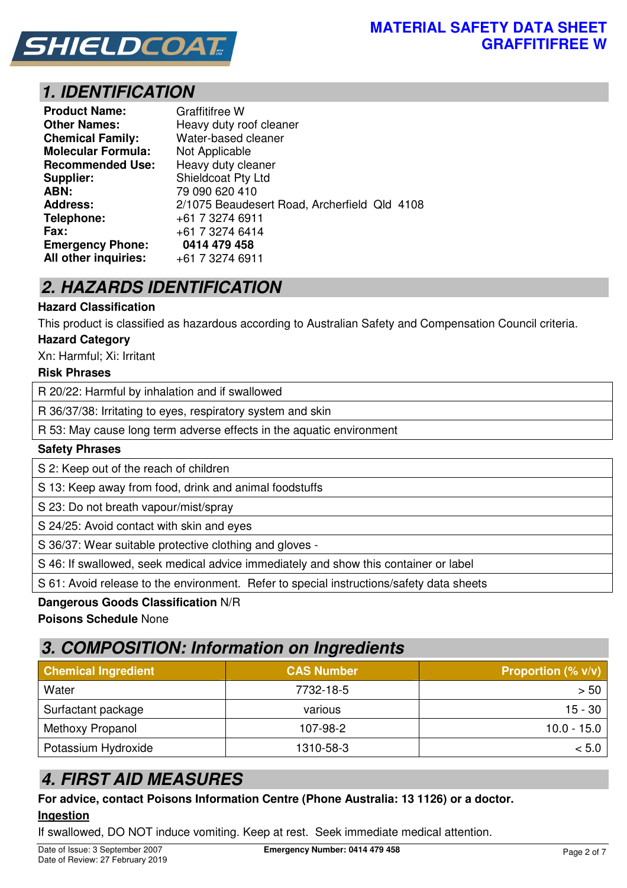

# **1. IDENTIFICATION**

| <b>Product Name:</b>      | <b>Graffitifree W</b>                        |
|---------------------------|----------------------------------------------|
| <b>Other Names:</b>       | Heavy duty roof cleaner                      |
| <b>Chemical Family:</b>   | Water-based cleaner                          |
| <b>Molecular Formula:</b> | Not Applicable                               |
| <b>Recommended Use:</b>   | Heavy duty cleaner                           |
| Supplier:                 | Shieldcoat Pty Ltd                           |
| ABN:                      | 79 090 620 410                               |
| <b>Address:</b>           | 2/1075 Beaudesert Road, Archerfield Qld 4108 |
| Telephone:                | +61 7 3274 6911                              |
| <b>Fax:</b>               | +61 7 3274 6414                              |
| <b>Emergency Phone:</b>   | 0414 479 458                                 |
| All other inquiries:      | +61 7 3274 6911                              |

# **2. HAZARDS IDENTIFICATION**

### **Hazard Classification**

This product is classified as hazardous according to Australian Safety and Compensation Council criteria.

### **Hazard Category**

Xn: Harmful; Xi: Irritant

### **Risk Phrases**

R 20/22: Harmful by inhalation and if swallowed

R 36/37/38: Irritating to eyes, respiratory system and skin

R 53: May cause long term adverse effects in the aquatic environment

### **Safety Phrases**

S 2: Keep out of the reach of children

S 13: Keep away from food, drink and animal foodstuffs

S 23: Do not breath vapour/mist/spray

S 24/25: Avoid contact with skin and eyes

S 36/37: Wear suitable protective clothing and gloves -

S 46: If swallowed, seek medical advice immediately and show this container or label

S 61: Avoid release to the environment. Refer to special instructions/safety data sheets

### **Dangerous Goods Classification** N/R

**Poisons Schedule** None

# **3. COMPOSITION: Information on Ingredients**

| <b>Chemical Ingredient</b> | <b>CAS Number</b> | <b>Proportion (% v/v)</b> |
|----------------------------|-------------------|---------------------------|
| Water                      | 7732-18-5         | > 50                      |
| Surfactant package         | various           | $15 - 30$                 |
| Methoxy Propanol           | 107-98-2          | $10.0 - 15.0$             |
| Potassium Hydroxide        | 1310-58-3         | < 5.0∣                    |

# **4. FIRST AID MEASURES**

**For advice, contact Poisons Information Centre (Phone Australia: 13 1126) or a doctor. Ingestion**

If swallowed, DO NOT induce vomiting. Keep at rest. Seek immediate medical attention.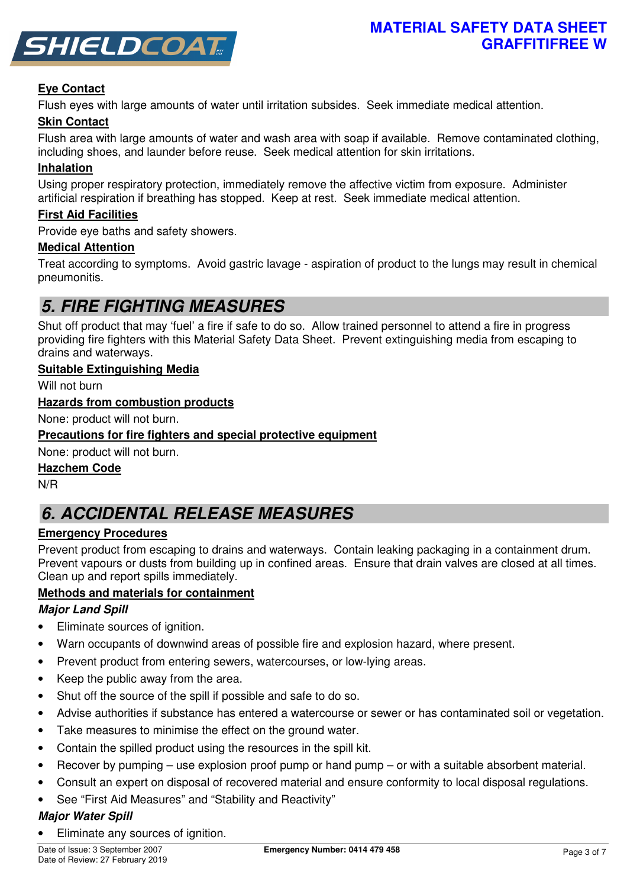

### **Eye Contact**

Flush eyes with large amounts of water until irritation subsides. Seek immediate medical attention.

### **Skin Contact**

Flush area with large amounts of water and wash area with soap if available. Remove contaminated clothing, including shoes, and launder before reuse. Seek medical attention for skin irritations.

### **Inhalation**

Using proper respiratory protection, immediately remove the affective victim from exposure. Administer artificial respiration if breathing has stopped. Keep at rest. Seek immediate medical attention.

### **First Aid Facilities**

Provide eye baths and safety showers.

### **Medical Attention**

Treat according to symptoms. Avoid gastric lavage - aspiration of product to the lungs may result in chemical pneumonitis.

# **5. FIRE FIGHTING MEASURES**

Shut off product that may 'fuel' a fire if safe to do so. Allow trained personnel to attend a fire in progress providing fire fighters with this Material Safety Data Sheet. Prevent extinguishing media from escaping to drains and waterways.

### **Suitable Extinguishing Media**

Will not burn

### **Hazards from combustion products**

None: product will not burn.

### **Precautions for fire fighters and special protective equipment**

None: product will not burn.

### **Hazchem Code**

N/R

# **6. ACCIDENTAL RELEASE MEASURES**

### **Emergency Procedures**

Prevent product from escaping to drains and waterways. Contain leaking packaging in a containment drum. Prevent vapours or dusts from building up in confined areas. Ensure that drain valves are closed at all times. Clean up and report spills immediately.

### **Methods and materials for containment**

### **Major Land Spill**

- Eliminate sources of ignition.
- Warn occupants of downwind areas of possible fire and explosion hazard, where present.
- Prevent product from entering sewers, watercourses, or low-lying areas.
- Keep the public away from the area.
- Shut off the source of the spill if possible and safe to do so.
- Advise authorities if substance has entered a watercourse or sewer or has contaminated soil or vegetation.
- Take measures to minimise the effect on the ground water.
- Contain the spilled product using the resources in the spill kit.
- Recover by pumping use explosion proof pump or hand pump or with a suitable absorbent material.
- Consult an expert on disposal of recovered material and ensure conformity to local disposal regulations.
- See "First Aid Measures" and "Stability and Reactivity"

### **Major Water Spill**

• Eliminate any sources of ignition.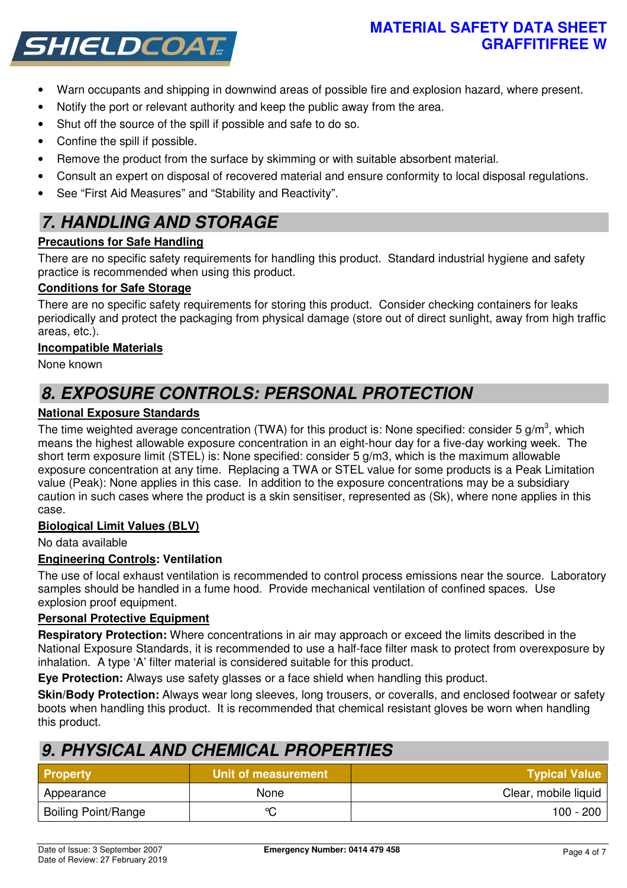## **MATERIAL SAFETY DATA SHEET GRAFFITIFREE W**



- Warn occupants and shipping in downwind areas of possible fire and explosion hazard, where present.
- Notify the port or relevant authority and keep the public away from the area.
- Shut off the source of the spill if possible and safe to do so.
- Confine the spill if possible.
- Remove the product from the surface by skimming or with suitable absorbent material.
- Consult an expert on disposal of recovered material and ensure conformity to local disposal regulations.
- See "First Aid Measures" and "Stability and Reactivity".

# **7. HANDLING AND STORAGE**

## **Precautions for Safe Handling**

There are no specific safety requirements for handling this product. Standard industrial hygiene and safety practice is recommended when using this product.

## **Conditions for Safe Storage**

There are no specific safety requirements for storing this product. Consider checking containers for leaks periodically and protect the packaging from physical damage (store out of direct sunlight, away from high traffic areas, etc.).

## **Incompatible Materials**

None known

# **8. EXPOSURE CONTROLS: PERSONAL PROTECTION**

## **National Exposure Standards**

The time weighted average concentration (TWA) for this product is: None specified: consider 5 g/m<sup>3</sup>, which means the highest allowable exposure concentration in an eight-hour day for a five-day working week. The short term exposure limit (STEL) is: None specified: consider 5 g/m3, which is the maximum allowable exposure concentration at any time. Replacing a TWA or STEL value for some products is a Peak Limitation value (Peak): None applies in this case. In addition to the exposure concentrations may be a subsidiary caution in such cases where the product is a skin sensitiser, represented as (Sk), where none applies in this case.

## **Biological Limit Values (BLV)**

No data available

## **Engineering Controls: Ventilation**

The use of local exhaust ventilation is recommended to control process emissions near the source. Laboratory samples should be handled in a fume hood. Provide mechanical ventilation of confined spaces. Use explosion proof equipment.

## **Personal Protective Equipment**

**Respiratory Protection:** Where concentrations in air may approach or exceed the limits described in the National Exposure Standards, it is recommended to use a half-face filter mask to protect from overexposure by inhalation. A type 'A' filter material is considered suitable for this product.

**Eye Protection:** Always use safety glasses or a face shield when handling this product.

**Skin/Body Protection:** Always wear long sleeves, long trousers, or coveralls, and enclosed footwear or safety boots when handling this product. It is recommended that chemical resistant gloves be worn when handling this product.

# **9. PHYSICAL AND CHEMICAL PROPERTIES**

| <b>Property</b>            | Unit of measurement | <b>Typical Value</b> |
|----------------------------|---------------------|----------------------|
| Appearance                 | <b>None</b>         | Clear, mobile liquid |
| <b>Boiling Point/Range</b> | $\sim$              | 100 - 200            |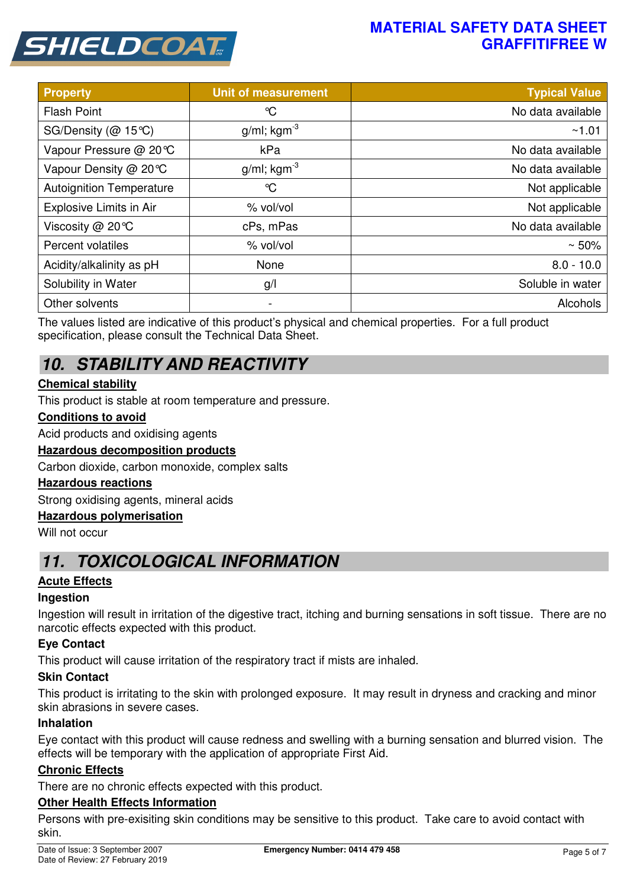# **MATERIAL SAFETY DATA SHEET GRAFFITIFREE W**



| <b>Property</b>                 | <b>Unit of measurement</b> | <b>Typical Value</b> |
|---------------------------------|----------------------------|----------------------|
| <b>Flash Point</b>              | °C                         | No data available    |
| SG/Density ( $@$ 15°C)          | $g/ml$ ; kgm <sup>-3</sup> | ~1.01                |
| Vapour Pressure @ 20℃           | kPa                        | No data available    |
| Vapour Density @ 20 °C          | $g/ml$ ; kgm <sup>-3</sup> | No data available    |
| <b>Autoignition Temperature</b> | $\mathrm{C}$               | Not applicable       |
| Explosive Limits in Air         | % vol/vol                  | Not applicable       |
| Viscosity @ 20°C                | cPs, mPas                  | No data available    |
| Percent volatiles               | % vol/vol                  | $~50\%$              |
| Acidity/alkalinity as pH        | None                       | $8.0 - 10.0$         |
| Solubility in Water             | g/l                        | Soluble in water     |
| Other solvents                  | $\overline{\phantom{a}}$   | Alcohols             |

The values listed are indicative of this product's physical and chemical properties. For a full product specification, please consult the Technical Data Sheet.

# **10. STABILITY AND REACTIVITY**

## **Chemical stability**

This product is stable at room temperature and pressure.

### **Conditions to avoid**

Acid products and oxidising agents

### **Hazardous decomposition products**

Carbon dioxide, carbon monoxide, complex salts

### **Hazardous reactions**

Strong oxidising agents, mineral acids

### **Hazardous polymerisation**

Will not occur

# **11. TOXICOLOGICAL INFORMATION**

### **Acute Effects**

### **Ingestion**

Ingestion will result in irritation of the digestive tract, itching and burning sensations in soft tissue. There are no narcotic effects expected with this product.

### **Eye Contact**

This product will cause irritation of the respiratory tract if mists are inhaled.

### **Skin Contact**

This product is irritating to the skin with prolonged exposure. It may result in dryness and cracking and minor skin abrasions in severe cases.

### **Inhalation**

Eye contact with this product will cause redness and swelling with a burning sensation and blurred vision. The effects will be temporary with the application of appropriate First Aid.

### **Chronic Effects**

There are no chronic effects expected with this product.

### **Other Health Effects Information**

Persons with pre-exisiting skin conditions may be sensitive to this product. Take care to avoid contact with skin.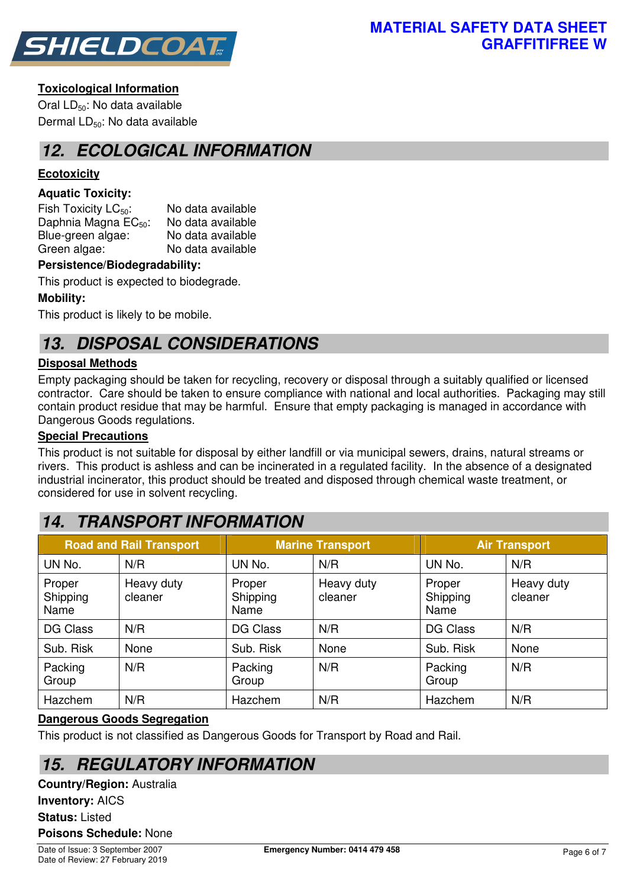

### **Toxicological Information**

Oral LD<sub>50</sub>: No data available Dermal LD<sub>50</sub>: No data available

# **12. ECOLOGICAL INFORMATION**

## **Ecotoxicity**

### **Aquatic Toxicity:**

Fish Toxicity  $LC_{50}$ : No data available Daphnia Magna  $EC_{50}$ : No data available<br>Blue-green algae: No data available Blue-green algae: Green algae: No data available

### **Persistence/Biodegradability:**

This product is expected to biodegrade.

### **Mobility:**

This product is likely to be mobile.

# **13. DISPOSAL CONSIDERATIONS**

### **Disposal Methods**

Empty packaging should be taken for recycling, recovery or disposal through a suitably qualified or licensed contractor. Care should be taken to ensure compliance with national and local authorities. Packaging may still contain product residue that may be harmful. Ensure that empty packaging is managed in accordance with Dangerous Goods regulations.

### **Special Precautions**

This product is not suitable for disposal by either landfill or via municipal sewers, drains, natural streams or rivers. This product is ashless and can be incinerated in a regulated facility. In the absence of a designated industrial incinerator, this product should be treated and disposed through chemical waste treatment, or considered for use in solvent recycling.

# **14. TRANSPORT INFORMATION**

| <b>Road and Rail Transport</b> |                       |                            | <b>Marine Transport</b> | <b>Air Transport</b>       |                       |
|--------------------------------|-----------------------|----------------------------|-------------------------|----------------------------|-----------------------|
| UN No.                         | N/R                   | UN No.                     | N/R                     | UN No.                     | N/R                   |
| Proper<br>Shipping<br>Name     | Heavy duty<br>cleaner | Proper<br>Shipping<br>Name | Heavy duty<br>cleaner   | Proper<br>Shipping<br>Name | Heavy duty<br>cleaner |
| <b>DG Class</b>                | N/R                   | DG Class                   | N/R                     | <b>DG Class</b>            | N/R                   |
| Sub. Risk                      | None                  | Sub. Risk                  | None                    | Sub. Risk                  | None                  |
| Packing<br>Group               | N/R                   | Packing<br>Group           | N/R                     | Packing<br>Group           | N/R                   |
| Hazchem                        | N/R                   | Hazchem                    | N/R                     | Hazchem                    | N/R                   |

### **Dangerous Goods Segregation**

This product is not classified as Dangerous Goods for Transport by Road and Rail.

# **15. REGULATORY INFORMATION**

**Country/Region:** Australia **Inventory:** AICS **Status:** Listed **Poisons Schedule:** None